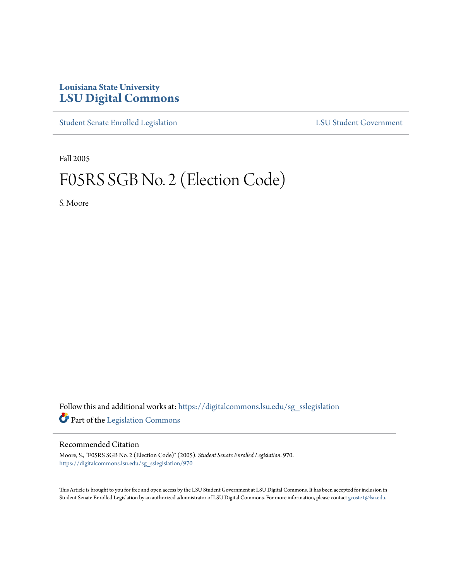# **Louisiana State University [LSU Digital Commons](https://digitalcommons.lsu.edu?utm_source=digitalcommons.lsu.edu%2Fsg_sslegislation%2F970&utm_medium=PDF&utm_campaign=PDFCoverPages)**

[Student Senate Enrolled Legislation](https://digitalcommons.lsu.edu/sg_sslegislation?utm_source=digitalcommons.lsu.edu%2Fsg_sslegislation%2F970&utm_medium=PDF&utm_campaign=PDFCoverPages) [LSU Student Government](https://digitalcommons.lsu.edu/sg?utm_source=digitalcommons.lsu.edu%2Fsg_sslegislation%2F970&utm_medium=PDF&utm_campaign=PDFCoverPages)

Fall 2005

# F05RS SGB No. 2 (Election Code)

S. Moore

Follow this and additional works at: [https://digitalcommons.lsu.edu/sg\\_sslegislation](https://digitalcommons.lsu.edu/sg_sslegislation?utm_source=digitalcommons.lsu.edu%2Fsg_sslegislation%2F970&utm_medium=PDF&utm_campaign=PDFCoverPages) Part of the [Legislation Commons](http://network.bepress.com/hgg/discipline/859?utm_source=digitalcommons.lsu.edu%2Fsg_sslegislation%2F970&utm_medium=PDF&utm_campaign=PDFCoverPages)

### Recommended Citation

Moore, S., "F05RS SGB No. 2 (Election Code)" (2005). *Student Senate Enrolled Legislation*. 970. [https://digitalcommons.lsu.edu/sg\\_sslegislation/970](https://digitalcommons.lsu.edu/sg_sslegislation/970?utm_source=digitalcommons.lsu.edu%2Fsg_sslegislation%2F970&utm_medium=PDF&utm_campaign=PDFCoverPages)

This Article is brought to you for free and open access by the LSU Student Government at LSU Digital Commons. It has been accepted for inclusion in Student Senate Enrolled Legislation by an authorized administrator of LSU Digital Commons. For more information, please contact [gcoste1@lsu.edu.](mailto:gcoste1@lsu.edu)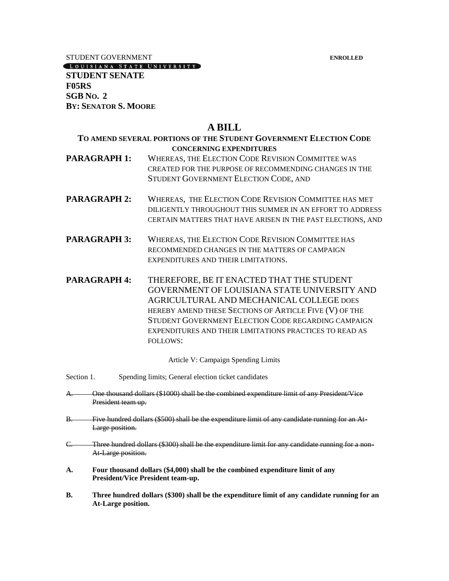STUDENT GOVERNMENT **ENROLLED**

[LOUISIANA STATE UNIVERSITY]

**STUDENT SENATE F05RS SGB NO. 2 BY: SENATOR S. MOORE**

# **A BILL**

## **TO AMEND SEVERAL PORTIONS OF THE STUDENT GOVERNMENT ELECTION CODE CONCERNING EXPENDITURES**

- **PARAGRAPH 1:** WHEREAS, THE ELECTION CODE REVISION COMMITTEE WAS CREATED FOR THE PURPOSE OF RECOMMENDING CHANGES IN THE STUDENT GOVERNMENT ELECTION CODE, AND
- **PARAGRAPH 2:** WHEREAS, THE ELECTION CODE REVISION COMMITTEE HAS MET DILIGENTLY THROUGHOUT THIS SUMMER IN AN EFFORT TO ADDRESS CERTAIN MATTERS THAT HAVE ARISEN IN THE PAST ELECTIONS, AND
- **PARAGRAPH 3:** WHEREAS, THE ELECTION CODE REVISION COMMITTEE HAS RECOMMENDED CHANGES IN THE MATTERS OF CAMPAIGN EXPENDITURES AND THEIR LIMITATIONS.
- **PARAGRAPH 4:** THEREFORE, BE IT ENACTED THAT THE STUDENT GOVERNMENT OF LOUISIANA STATE UNIVERSITY AND AGRICULTURAL AND MECHANICAL COLLEGE DOES HEREBY AMEND THESE SECTIONS OF ARTICLE FIVE (V) OF THE STUDENT GOVERNMENT ELECTION CODE REGARDING CAMPAIGN EXPENDITURES AND THEIR LIMITATIONS PRACTICES TO READ AS FOLLOWS:

Article V: Campaign Spending Limits

- Section 1. Spending limits; General election ticket candidates
- A. One thousand dollars (\$1000) shall be the combined expenditure limit of any President/Vice President team up.
- B. Five hundred dollars (\$500) shall be the expenditure limit of any candidate running for an At-Large position.
- C. Three hundred dollars (\$300) shall be the expenditure limit for any candidate running for a non-At Large position.
- **A. Four thousand dollars (\$4,000) shall be the combined expenditure limit of any President/Vice President team-up.**
- **B. Three hundred dollars (\$300) shall be the expenditure limit of any candidate running for an At-Large position.**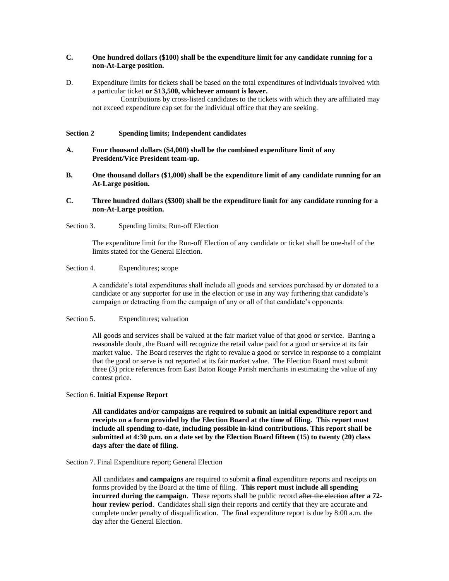#### **C. One hundred dollars (\$100) shall be the expenditure limit for any candidate running for a non-At-Large position.**

D. Expenditure limits for tickets shall be based on the total expenditures of individuals involved with a particular ticket **or \$13,500, whichever amount is lower.**

Contributions by cross-listed candidates to the tickets with which they are affiliated may not exceed expenditure cap set for the individual office that they are seeking.

#### **Section 2 Spending limits; Independent candidates**

- **A. Four thousand dollars (\$4,000) shall be the combined expenditure limit of any President/Vice President team-up.**
- **B. One thousand dollars (\$1,000) shall be the expenditure limit of any candidate running for an At-Large position.**
- **C. Three hundred dollars (\$300) shall be the expenditure limit for any candidate running for a non-At-Large position.**
- Section 3. Spending limits; Run-off Election

The expenditure limit for the Run-off Election of any candidate or ticket shall be one-half of the limits stated for the General Election.

#### Section 4. Expenditures; scope

A candidate's total expenditures shall include all goods and services purchased by or donated to a candidate or any supporter for use in the election or use in any way furthering that candidate's campaign or detracting from the campaign of any or all of that candidate's opponents.

#### Section 5. Expenditures; valuation

All goods and services shall be valued at the fair market value of that good or service. Barring a reasonable doubt, the Board will recognize the retail value paid for a good or service at its fair market value. The Board reserves the right to revalue a good or service in response to a complaint that the good or serve is not reported at its fair market value. The Election Board must submit three (3) price references from East Baton Rouge Parish merchants in estimating the value of any contest price.

#### Section 6. **Initial Expense Report**

**All candidates and/or campaigns are required to submit an initial expenditure report and receipts on a form provided by the Election Board at the time of filing. This report must include all spending to-date, including possible in-kind contributions. This report shall be submitted at 4:30 p.m. on a date set by the Election Board fifteen (15) to twenty (20) class days after the date of filing.**

#### Section 7. Final Expenditure report; General Election

All candidates **and campaigns** are required to submit **a final** expenditure reports and receipts on forms provided by the Board at the time of filing. **This report must include all spending incurred during the campaign**. These reports shall be public record after the election **after a 72 hour review period**. Candidates shall sign their reports and certify that they are accurate and complete under penalty of disqualification. The final expenditure report is due by 8:00 a.m. the day after the General Election.